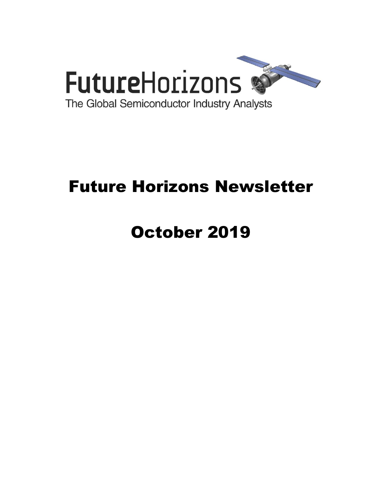

# Future Horizons Newsletter

# October 2019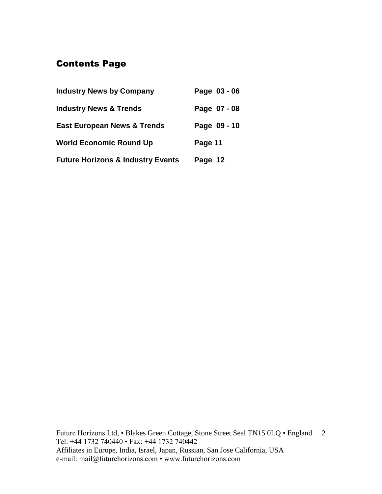# Contents Page

| <b>Industry News by Company</b>              | Page 03 - 06 |
|----------------------------------------------|--------------|
| <b>Industry News &amp; Trends</b>            | Page 07 - 08 |
| <b>East European News &amp; Trends</b>       | Page 09 - 10 |
| <b>World Economic Round Up</b>               | Page 11      |
| <b>Future Horizons &amp; Industry Events</b> | Page 12      |

Future Horizons Ltd, • Blakes Green Cottage, Stone Street Seal TN15 0LQ • England 2 Tel: +44 1732 740440 • Fax: +44 1732 740442 Affiliates in Europe, India, Israel, Japan, Russian, San Jose California, USA e-mail: mail@futurehorizons.com • www.futurehorizons.com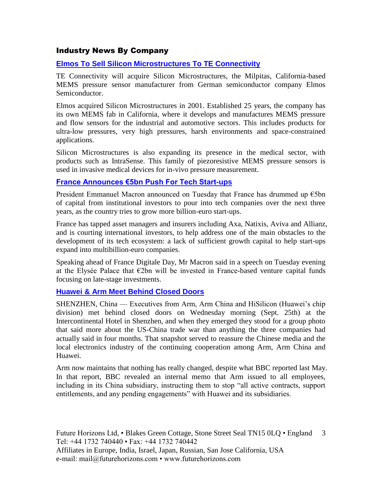### Industry News By Company

#### **[Elmos To Sell Silicon Microstructures To TE Connectivity](https://www.eetimes.com/document.asp?doc_id=1335129&_mc=RSS_EET_EDT&utm_source=newsletter&utm_campaign=link&utm_medium=EETimesDaily-20190924)**

TE Connectivity will acquire Silicon Microstructures, the Milpitas, California-based MEMS pressure sensor manufacturer from German semiconductor company Elmos Semiconductor.

Elmos acquired Silicon Microstructures in 2001. Established 25 years, the company has its own MEMS fab in California, where it develops and manufactures MEMS pressure and flow sensors for the industrial and automotive sectors. This includes products for ultra-low pressures, very high pressures, harsh environments and space-constrained applications.

Silicon Microstructures is also expanding its presence in the medical sector, with products such as IntraSense. This family of piezoresistive MEMS pressure sensors is used in invasive medical devices for in-vivo pressure measurement.

#### **[France Announces €5bn Push For Tech Start-ups](https://www.ft.com/content/4b932bee-d960-11e9-8f9b-77216ebe1f17?desktop=true&segmentId=7c8f09b9-9b61-4fbb-9430-9208a9e233c8#myft:notification:daily-email:content)**

President Emmanuel Macron announced on Tuesday that France has drummed up  $\epsilon$ 5bn of capital from institutional investors to pour into tech companies over the next three years, as the country tries to grow more billion-euro start-ups.

France has tapped asset managers and insurers including Axa, Natixis, Aviva and Allianz, and is courting international investors, to help address one of the main obstacles to the development of its tech ecosystem: a lack of sufficient growth capital to help start-ups expand into multibillion-euro companies.

Speaking ahead of France Digitale Day, Mr Macron said in a speech on Tuesday evening at the Elysée Palace that  $E2bn$  will be invested in France-based venture capital funds focusing on late-stage investments.

#### **[Huawei & Arm Meet Behind Closed Doors](https://www.eetimes.com/document.asp?doc_id=1335156&_mc=RSS_EET_EDT&utm_source=newsletter&utm_campaign=link&utm_medium=EETimesDaily-20190930)**

SHENZHEN, China — Executives from Arm, Arm China and HiSilicon (Huawei's chip division) met behind closed doors on Wednesday morning (Sept. 25th) at the Intercontinental Hotel in Shenzhen, and when they emerged they stood for a group photo that said more about the US-China trade war than anything the three companies had actually said in four months. That snapshot served to reassure the Chinese media and the local electronics industry of the continuing cooperation among Arm, Arm China and Huawei.

Arm now maintains that nothing has really changed, despite what BBC reported last May. In that report, BBC revealed an internal memo that Arm issued to all employees, including in its China subsidiary, instructing them to stop "all active contracts, support entitlements, and any pending engagements" with Huawei and its subsidiaries.

Future Horizons Ltd, • Blakes Green Cottage, Stone Street Seal TN15 0LQ • England 3 Tel: +44 1732 740440 • Fax: +44 1732 740442 Affiliates in Europe, India, Israel, Japan, Russian, San Jose California, USA e-mail: mail@futurehorizons.com • www.futurehorizons.com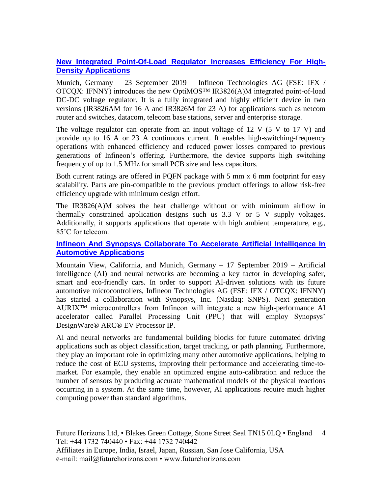# **[New Integrated Point-Of-Load Regulator Increases Efficiency For High-](https://www.infineon.com/cms/en/about-infineon/press/market-news/2019/INFPMM201909-095.html)[Density Applications](https://www.infineon.com/cms/en/about-infineon/press/market-news/2019/INFPMM201909-095.html)**

Munich, Germany – 23 September 2019 – Infineon Technologies AG (FSE: IFX / OTCQX: IFNNY) introduces the new OptiMOS™ IR3826(A)M integrated point-of-load DC-DC voltage regulator. It is a fully integrated and highly efficient device in two versions (IR3826AM for 16 A and IR3826M for 23 A) for applications such as netcom router and switches, datacom, telecom base stations, server and enterprise storage.

The voltage regulator can operate from an input voltage of  $12 \text{ V}$  (5 V to  $17 \text{ V}$ ) and provide up to 16 A or 23 A continuous current. It enables high-switching-frequency operations with enhanced efficiency and reduced power losses compared to previous generations of Infineon's offering. Furthermore, the device supports high switching frequency of up to 1.5 MHz for small PCB size and less capacitors.

Both current ratings are offered in PQFN package with 5 mm x 6 mm footprint for easy scalability. Parts are pin-compatible to the previous product offerings to allow risk-free efficiency upgrade with minimum design effort.

The IR3826(A)M solves the heat challenge without or with minimum airflow in thermally constrained application designs such us 3.3 V or 5 V supply voltages. Additionally, it supports applications that operate with high ambient temperature, e.g., 85˚C for telecom.

### **[Infineon And Synopsys Collaborate To Accelerate Artificial Intelligence In](https://www.infineon.com/cms/en/about-infineon/press/market-news/2019/INFATV201909-099.html)  [Automotive Applications](https://www.infineon.com/cms/en/about-infineon/press/market-news/2019/INFATV201909-099.html)**

Mountain View, California, and Munich, Germany – 17 September 2019 – Artificial intelligence (AI) and neural networks are becoming a key factor in developing safer, smart and eco-friendly cars. In order to support AI-driven solutions with its future automotive microcontrollers, Infineon Technologies AG (FSE: IFX / OTCQX: IFNNY) has started a collaboration with Synopsys, Inc. (Nasdaq: SNPS). Next generation AURIX™ microcontrollers from Infineon will integrate a new high-performance AI accelerator called Parallel Processing Unit (PPU) that will employ Synopsys' DesignWare® ARC® EV Processor IP.

AI and neural networks are fundamental building blocks for future automated driving applications such as object classification, target tracking, or path planning. Furthermore, they play an important role in optimizing many other automotive applications, helping to reduce the cost of ECU systems, improving their performance and accelerating time-tomarket. For example, they enable an optimized engine auto-calibration and reduce the number of sensors by producing accurate mathematical models of the physical reactions occurring in a system. At the same time, however, AI applications require much higher computing power than standard algorithms.

Future Horizons Ltd, • Blakes Green Cottage, Stone Street Seal TN15 0LQ • England 4 Tel: +44 1732 740440 • Fax: +44 1732 740442 Affiliates in Europe, India, Israel, Japan, Russian, San Jose California, USA e-mail: mail@futurehorizons.com • www.futurehorizons.com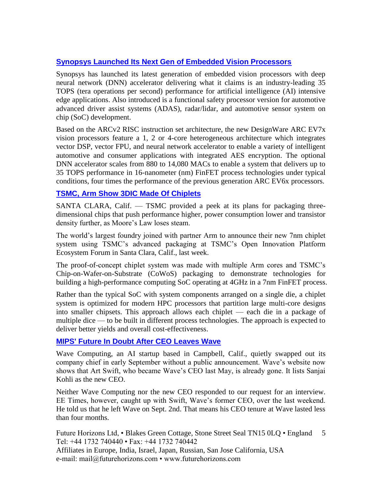# **[Synopsys Launched Its Next Gen of Embedded Vision Processors](https://www.eetindia.co.in/news/article/Synopsys-Launched-Its-Next-Gen-Embedded-Vision-Processors?utm_source=EETI%20Article%20Alert&utm_medium=Email&utm_campaign=2019-09-18)**

Synopsys has launched its latest generation of embedded vision processors with deep neural network (DNN) accelerator delivering what it claims is an industry-leading 35 TOPS (tera operations per second) performance for artificial intelligence (AI) intensive edge applications. Also introduced is a functional safety processor version for automotive advanced driver assist systems (ADAS), radar/lidar, and automotive sensor system on chip (SoC) development.

Based on the ARCv2 RISC instruction set architecture, the new DesignWare ARC EV7x vision processors feature a 1, 2 or 4-core heterogeneous architecture which integrates vector DSP, vector FPU, and neural network accelerator to enable a variety of intelligent automotive and consumer applications with integrated AES encryption. The optional DNN accelerator scales from 880 to 14,080 MACs to enable a system that delivers up to 35 TOPS performance in 16-nanometer (nm) FinFET process technologies under typical conditions, four times the performance of the previous generation ARC EV6x processors.

# **[TSMC, Arm Show 3DIC Made Of Chiplets](https://www.eetimes.com/document.asp?doc_id=1335157&_mc=RSS_EET_EDT&utm_source=newsletter&utm_campaign=link&utm_medium=EETimesDaily-20190930)**

SANTA CLARA, Calif. — TSMC provided a peek at its plans for packaging threedimensional chips that push performance higher, power consumption lower and transistor density further, as Moore's Law loses steam.

The world's largest foundry joined with partner Arm to announce their new 7nm chiplet system using TSMC's advanced packaging at TSMC's Open Innovation Platform Ecosystem Forum in Santa Clara, Calif., last week.

The proof-of-concept chiplet system was made with multiple Arm cores and TSMC's Chip-on-Wafer-on-Substrate (CoWoS) packaging to demonstrate technologies for building a high-performance computing SoC operating at 4GHz in a 7nm FinFET process.

Rather than the typical SoC with system components arranged on a single die, a chiplet system is optimized for modern HPC processors that partition large multi-core designs into smaller chipsets. This approach allows each chiplet — each die in a package of multiple dice — to be built in different process technologies. The approach is expected to deliver better yields and overall cost-effectiveness.

# **[MIPS' Future In Doubt After CEO Leaves Wave](https://www.eetindia.co.in/news/article/MIPS-Future-in-Doubt-After-CEO-Leaves-Wave?utm_source=EETI%20Article%20Alert&utm_medium=Email&utm_campaign=2019-10-02)**

Wave Computing, an AI startup based in Campbell, Calif., quietly swapped out its company chief in early September without a public announcement. Wave's website now shows that Art Swift, who became Wave's CEO last May, is already gone. It lists Sanjai Kohli as the new CEO.

Neither Wave Computing nor the new CEO responded to our request for an interview. EE Times, however, caught up with Swift, Wave's former CEO, over the last weekend. He told us that he left Wave on Sept. 2nd. That means his CEO tenure at Wave lasted less than four months.

Future Horizons Ltd, • Blakes Green Cottage, Stone Street Seal TN15 0LQ • England Tel: +44 1732 740440 • Fax: +44 1732 740442 5

Affiliates in Europe, India, Israel, Japan, Russian, San Jose California, USA e-mail: mail@futurehorizons.com • www.futurehorizons.com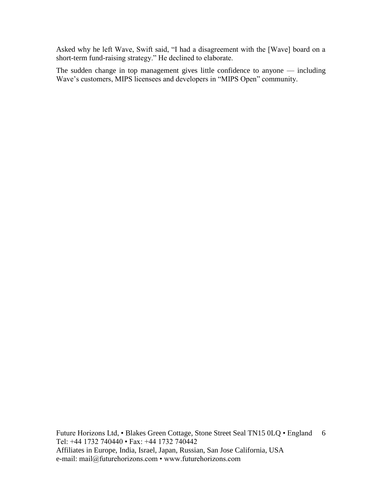Asked why he left Wave, Swift said, "I had a disagreement with the [Wave] board on a short-term fund-raising strategy." He declined to elaborate.

The sudden change in top management gives little confidence to anyone — including Wave's customers, MIPS licensees and developers in "MIPS Open" community.

Future Horizons Ltd, • Blakes Green Cottage, Stone Street Seal TN15 0LQ • England 6 Tel: +44 1732 740440 • Fax: +44 1732 740442 Affiliates in Europe, India, Israel, Japan, Russian, San Jose California, USA e-mail: mail@futurehorizons.com • www.futurehorizons.com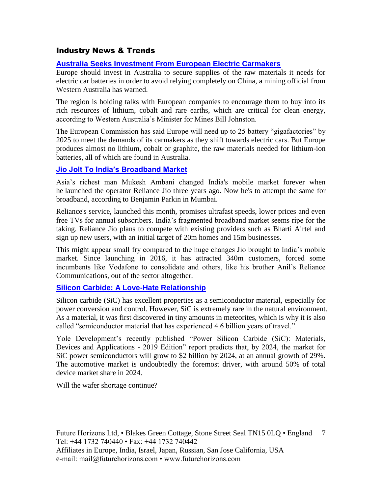# Industry News & Trends

# **[Australia Seeks Investment From European Electric Carmakers](https://www.ft.com/content/1f6287a0-d630-11e9-a0bd-ab8ec6435630?desktop=true&segmentId=7c8f09b9-9b61-4fbb-9430-9208a9e233c8#myft:notification:daily-email:content)**

Europe should invest in Australia to secure supplies of the raw materials it needs for electric car batteries in order to avoid relying completely on China, a mining official from Western Australia has warned.

The region is holding talks with European companies to encourage them to buy into its rich resources of lithium, cobalt and rare earths, which are critical for clean energy, according to Western Australia's Minister for Mines Bill Johnston.

The European Commission has said Europe will need up to 25 battery "gigafactories" by 2025 to meet the demands of its carmakers as they shift towards electric cars. But Europe produces almost no lithium, cobalt or graphite, the raw materials needed for lithium-ion batteries, all of which are found in Australia.

### **[Jio Jolt To India's Broadband Market](https://www.ft.com/content/7d6a08ac-d89f-11e9-8f9b-77216ebe1f17?desktop=true&segmentId=7c8f09b9-9b61-4fbb-9430-9208a9e233c8#myft:notification:daily-email:content)**

Asia's richest man Mukesh Ambani changed India's mobile market forever when he launched the operator Reliance Jio three years ago. Now he's to attempt the same for broadband, according to Benjamin Parkin in Mumbai.

Reliance's service, launched this month, promises ultrafast speeds, lower prices and even free TVs for annual subscribers. India's fragmented broadband market seems ripe for the taking. Reliance Jio plans to compete with existing providers such as Bharti Airtel and sign up new users, with an initial target of 20m homes and 15m businesses.

This might appear small fry compared to the huge changes Jio brought to India's mobile market. Since launching in 2016, it has attracted 340m customers, forced some incumbents like Vodafone to consolidate and others, like his brother Anil's Reliance Communications, out of the sector altogether.

#### **[Silicon Carbide: A Love-Hate Relationship](https://www.eetimes.com/document.asp?doc_id=1335151&_mc=RSS_EET_EDT&utm_source=newsletter&utm_campaign=link&utm_medium=EETimesDaily-20190930)**

Silicon carbide (SiC) has excellent properties as a semiconductor material, especially for power conversion and control. However, SiC is extremely rare in the natural environment. As a material, it was first discovered in tiny amounts in meteorites, which is why it is also called "semiconductor material that has experienced 4.6 billion years of travel."

Yole Development's recently published "Power Silicon Carbide (SiC): Materials, Devices and Applications - 2019 Edition" report predicts that, by 2024, the market for SiC power semiconductors will grow to \$2 billion by 2024, at an annual growth of 29%. The automotive market is undoubtedly the foremost driver, with around 50% of total device market share in 2024.

Will the wafer shortage continue?

Future Horizons Ltd, • Blakes Green Cottage, Stone Street Seal TN15 0LQ • England 7 Tel: +44 1732 740440 • Fax: +44 1732 740442 Affiliates in Europe, India, Israel, Japan, Russian, San Jose California, USA e-mail: mail@futurehorizons.com • www.futurehorizons.com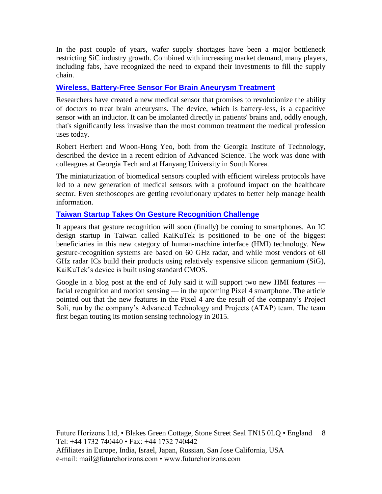In the past couple of years, wafer supply shortages have been a major bottleneck restricting SiC industry growth. Combined with increasing market demand, many players, including fabs, have recognized the need to expand their investments to fill the supply chain.

#### **[Wireless, Battery-Free Sensor For Brain Aneurysm Treatment](https://www.eetimes.com/document.asp?doc_id=1335152&_mc=RSS_EET_EDT&utm_source=newsletter&utm_campaign=link&utm_medium=EETimesDaily-20190930)**

Researchers have created a new medical sensor that promises to revolutionize the ability of doctors to treat brain aneurysms. The device, which is battery-less, is a capacitive sensor with an inductor. It can be implanted directly in patients' brains and, oddly enough, that's significantly less invasive than the most common treatment the medical profession uses today.

Robert Herbert and Woon-Hong Yeo, both from the Georgia Institute of Technology, described the device in a recent edition of Advanced Science. The work was done with colleagues at Georgia Tech and at Hanyang University in South Korea.

The miniaturization of biomedical sensors coupled with efficient wireless protocols have led to a new generation of medical sensors with a profound impact on the healthcare sector. Even stethoscopes are getting revolutionary updates to better help manage health information.

### **[Taiwan Startup Takes On Gesture Recognition Challenge](https://www.eetindia.co.in/news/article/Taiwan-Startup-Takes-on-Gesture-Recognition-Challenge?utm_source=EETI%20Article%20Alert&utm_medium=Email&utm_campaign=2019-09-27)**

It appears that gesture recognition will soon (finally) be coming to smartphones. An IC design startup in Taiwan called KaiKuTek is positioned to be one of the biggest beneficiaries in this new category of human-machine interface (HMI) technology. New gesture-recognition systems are based on 60 GHz radar, and while most vendors of 60 GHz radar ICs build their products using relatively expensive silicon germanium (SiG), KaiKuTek's device is built using standard CMOS.

Google in a blog post at the end of July said it will support two new HMI features facial recognition and motion sensing — in the upcoming Pixel 4 smartphone. The article pointed out that the new features in the Pixel 4 are the result of the company's Project Soli, run by the company's Advanced Technology and Projects (ATAP) team. The team first began touting its motion sensing technology in 2015.

Future Horizons Ltd, • Blakes Green Cottage, Stone Street Seal TN15 0LQ • England 8 Tel: +44 1732 740440 • Fax: +44 1732 740442 Affiliates in Europe, India, Israel, Japan, Russian, San Jose California, USA e-mail: mail@futurehorizons.com • www.futurehorizons.com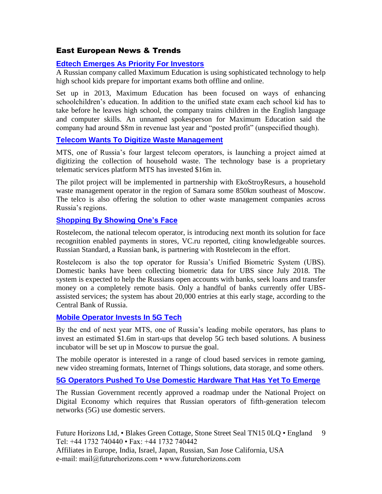# East European News & Trends

#### **[Edtech Emerges As Priority For Investors](http://www.marchmontnews.com/Finance-Business/Central-regions/22105-Edtech-emerges-as-priority-for-investors.html)**

A Russian company called Maximum Education is using sophisticated technology to help high school kids prepare for important exams both offline and online.

Set up in 2013, Maximum Education has been focused on ways of enhancing schoolchildren's education. In addition to the unified state exam each school kid has to take before he leaves high school, the company trains children in the English language and computer skills. An unnamed spokesperson for Maximum Education said the company had around \$8m in revenue last year and "posted profit" (unspecified though).

#### **[Telecom Wants To Digitize Waste Management](http://www.marchmontnews.com/Energy-Utilities/Volga/22110-Telecom-wants-digitize-waste-management-.html)**

MTS, one of Russia's four largest telecom operators, is launching a project aimed at digitizing the collection of household waste. The technology base is a proprietary telematic services platform MTS has invested \$16m in.

The pilot project will be implemented in partnership with EkoStroyResurs, a household waste management operator in the region of Samara some 850km southeast of Moscow. The telco is also offering the solution to other waste management companies across Russia's regions.

#### **Shopping [By Showing One's Face](http://www.marchmontnews.com/Finance-Business/Central-regions/22187-Shopping-by-showing-ones-face.html)**

Rostelecom, the national telecom operator, is introducing next month its solution for face recognition enabled payments in stores, VC.ru reported, citing knowledgeable sources. Russian Standard, a Russian bank, is partnering with Rostelecom in the effort.

Rostelecom is also the top operator for Russia's Unified Biometric System (UBS). Domestic banks have been collecting biometric data for UBS since July 2018. The system is expected to help the Russians open accounts with banks, seek loans and transfer money on a completely remote basis. Only a handful of banks currently offer UBSassisted services; the system has about 20,000 entries at this early stage, according to the Central Bank of Russia.

#### **[Mobile Operator Invests In 5G Tech](http://www.marchmontnews.com/Telecoms-Media/Central-regions/22093-Mobile-operator-invests-5G-tech.html)**

By the end of next year MTS, one of Russia's leading mobile operators, has plans to invest an estimated \$1.6m in start-ups that develop 5G tech based solutions. A business incubator will be set up in Moscow to pursue the goal.

The mobile operator is interested in a range of cloud based services in remote gaming, new video streaming formats, Internet of Things solutions, data storage, and some others.

#### **[5G Operators Pushed To Use Domestic Hardware That Has Yet To Emerge](http://www.marchmontnews.com/Telecoms-Media/Central-regions/22222-5G-operators-pushed-use-domestic-hardware-that-has-yet-emerge.html)**

The Russian Government recently approved a roadmap under the National Project on Digital Economy which requires that Russian operators of fifth-generation telecom networks (5G) use domestic servers.

Future Horizons Ltd, • Blakes Green Cottage, Stone Street Seal TN15 0LQ • England Tel: +44 1732 740440 • Fax: +44 1732 740442 Affiliates in Europe, India, Israel, Japan, Russian, San Jose California, USA 9

e-mail: mail@futurehorizons.com • www.futurehorizons.com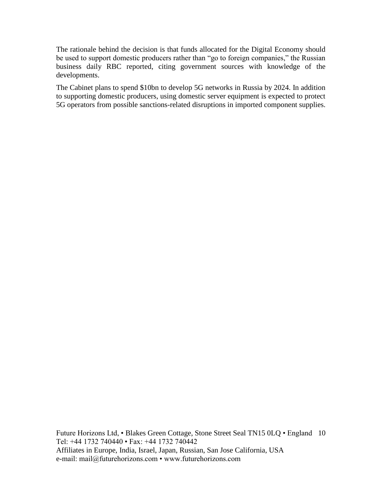The rationale behind the decision is that funds allocated for the Digital Economy should be used to support domestic producers rather than "go to foreign companies," the Russian business daily RBC reported, citing government sources with knowledge of the developments.

The Cabinet plans to spend \$10bn to develop 5G networks in Russia by 2024. In addition to supporting domestic producers, using domestic server equipment is expected to protect 5G operators from possible sanctions-related disruptions in imported component supplies.

Future Horizons Ltd, • Blakes Green Cottage, Stone Street Seal TN15 0LQ • England 10 Tel: +44 1732 740440 • Fax: +44 1732 740442 Affiliates in Europe, India, Israel, Japan, Russian, San Jose California, USA e-mail: mail@futurehorizons.com • www.futurehorizons.com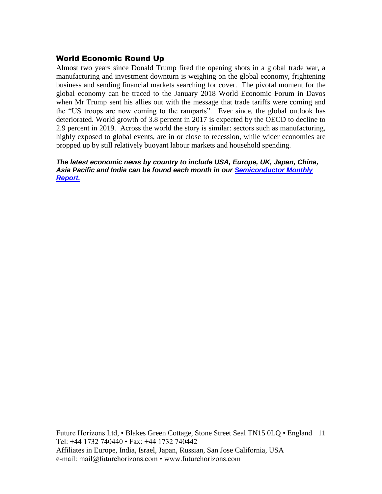## World Economic Round Up

Almost two years since Donald Trump fired the opening shots in a global trade war, a manufacturing and investment downturn is weighing on the global economy, frightening business and sending financial markets searching for cover. The pivotal moment for the global economy can be traced to the January 2018 World Economic Forum in Davos when Mr Trump sent his allies out with the message that trade tariffs were coming and the "US troops are now coming to the ramparts". Ever since, the global outlook has deteriorated. World growth of 3.8 percent in 2017 is expected by the OECD to decline to 2.9 percent in 2019. Across the world the story is similar: sectors such as manufacturing, highly exposed to global events, are in or close to recession, while wider economies are propped up by still relatively buoyant labour markets and household spending.

*The latest economic news by country to include USA, Europe, UK, Japan, China, Asia Pacific and India can be found each month in our [Semiconductor Monthly](http://www.futurehorizons.com/page/18/Global-Semiconductor-Report)  [Report.](http://www.futurehorizons.com/page/18/Global-Semiconductor-Report)* 

Future Horizons Ltd, • Blakes Green Cottage, Stone Street Seal TN15 0LQ • England 11 Tel: +44 1732 740440 • Fax: +44 1732 740442 Affiliates in Europe, India, Israel, Japan, Russian, San Jose California, USA e-mail: mail@futurehorizons.com • www.futurehorizons.com